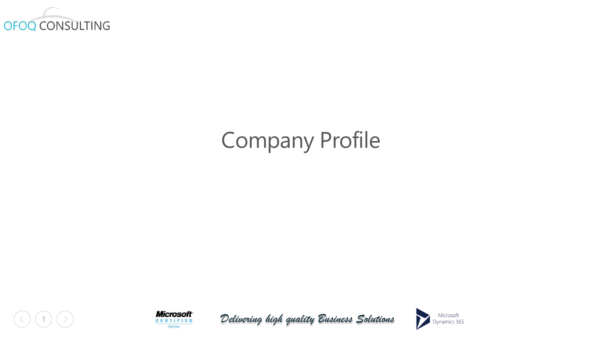

# Company Profile





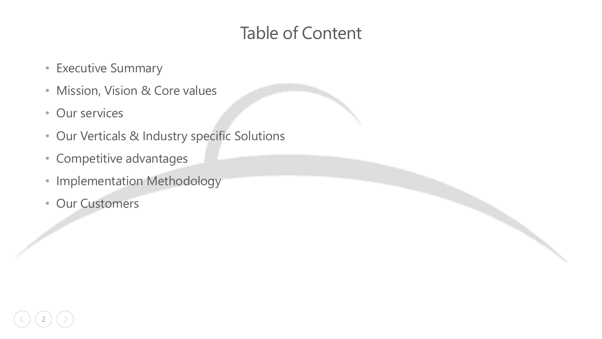# Table of Content

- Executive Summary
- Mission, Vision & Core values
- Our services
- Our Verticals & Industry specific Solutions
- Competitive advantages
- Implementation Methodology
- Our Customers

2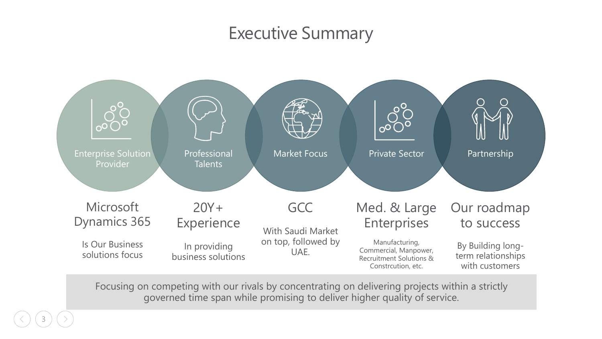## Executive Summary



Focusing on competing with our rivals by concentrating on delivering projects within a strictly governed time span while promising to deliver higher quality of service.

3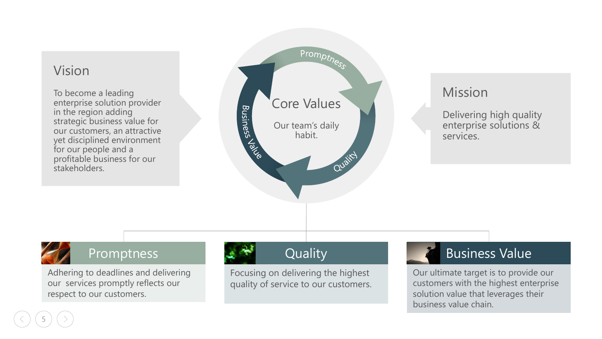#### Vision

To become a leading enterprise solution provider in the region adding strategic business value for our customers, an attractive yet disciplined environment for our people and a profitable business for our stakeholders.



### Mission

Delivering high quality enterprise solutions & services.



5

#### Promptness

Adhering to deadlines and delivering our services promptly reflects our respect to our customers.

### **Quality**

Focusing on delivering the highest quality of service to our customers.

### Business Value

Our ultimate target is to provide our customers with the highest enterprise solution value that leverages their business value chain.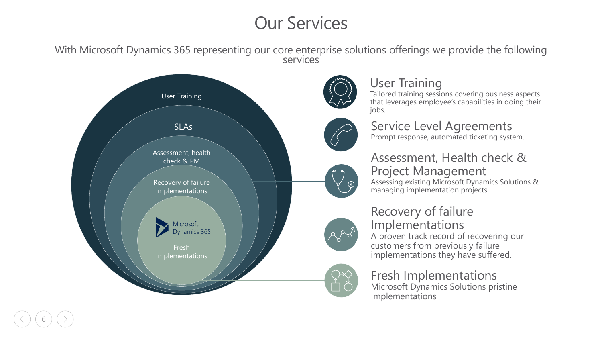# Our Services

With Microsoft Dynamics 365 representing our core enterprise solutions offerings we provide the following services



6

### User Training

Tailored training sessions covering business aspects that leverages employee's capabilities in doing their jobs.

Service Level Agreements Prompt response, automated ticketing system.

### Assessment, Health check & Project Management

Assessing existing Microsoft Dynamics Solutions & managing implementation projects.

#### Recovery of failure Implementations

A proven track record of recovering our customers from previously failure implementations they have suffered.

#### Fresh Implementations Microsoft Dynamics Solutions pristine Implementations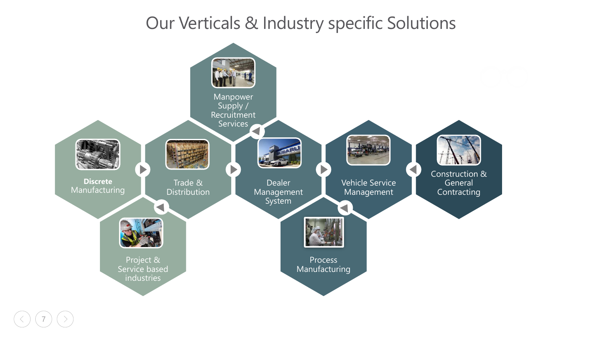# Our Verticals & Industry specific Solutions



7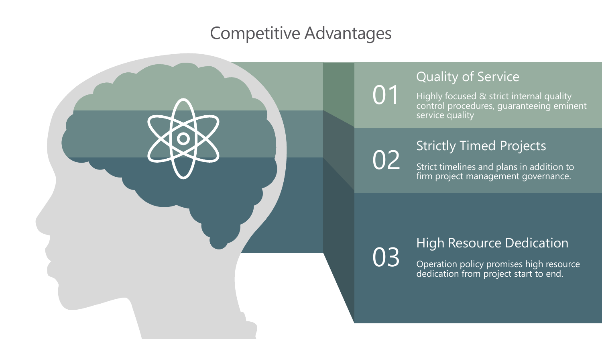## Competitive Advantages

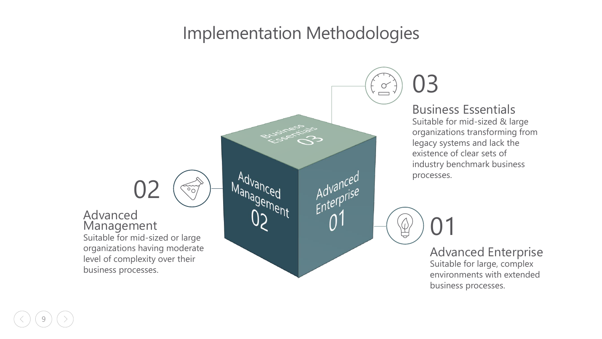## Implementation Methodologies



9

#### Business Essentials

01

Suitable for mid-sized & large organizations transforming from legacy systems and lack the existence of clear sets of industry benchmark business processes.

> Advanced Enterprise Suitable for large, complex environments with extended business processes.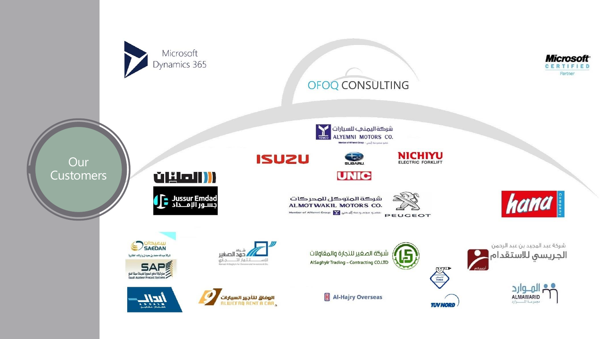